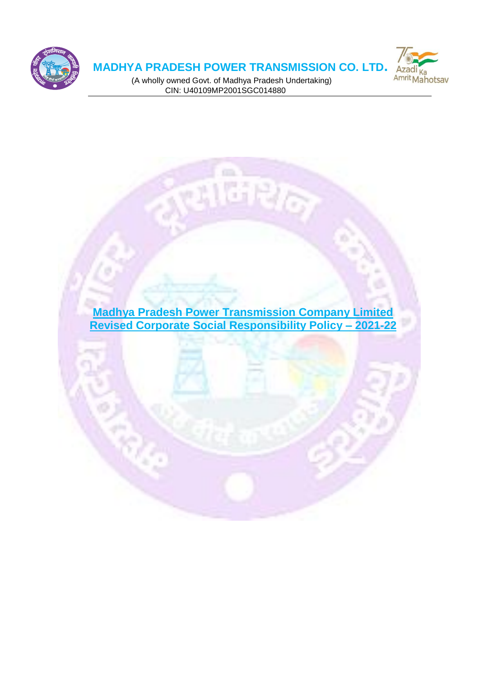

# **MADHYA PRADESH POWER TRANSMISSION CO. LTD.**



 (A wholly owned Govt. of Madhya Pradesh Undertaking) CIN: U40109MP2001SGC014880

**Madhya Pradesh Power Transmission Company Limited Revised Corporate Social Responsibility Policy – 2021-22**

**TERIO**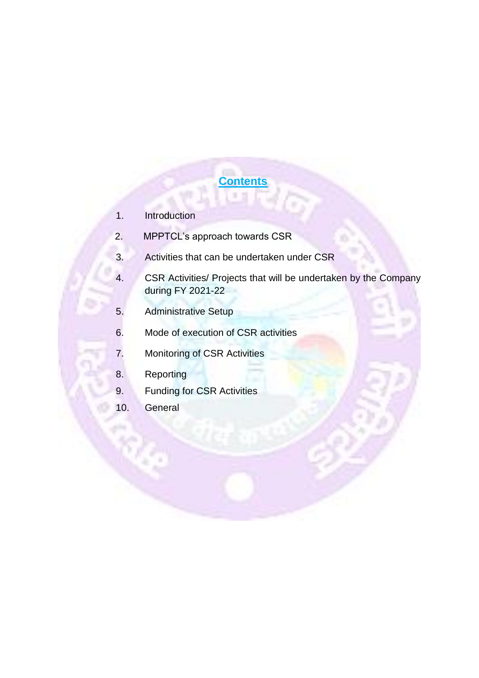# **Contents**

- 1. Introduction
- 2. MPPTCL's approach towards CSR
- 3. Activities that can be undertaken under CSR
- 4. CSR Activities/ Projects that will be undertaken by the Company during FY 2021-22
- 5. Administrative Setup
- 6. Mode of execution of CSR activities
- 7. Monitoring of CSR Activities
- 8. Reporting
- 9. Funding for CSR Activities
- 10. General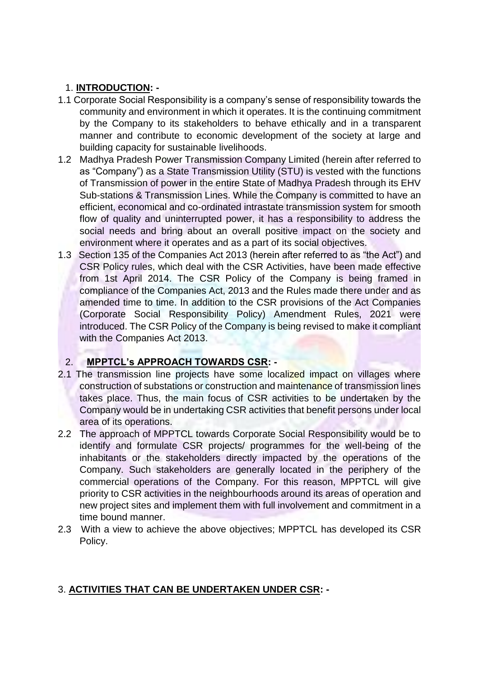### 1. **INTRODUCTION: -**

- 1.1 Corporate Social Responsibility is a company's sense of responsibility towards the community and environment in which it operates. It is the continuing commitment by the Company to its stakeholders to behave ethically and in a transparent manner and contribute to economic development of the society at large and building capacity for sustainable livelihoods.
- 1.2 Madhya Pradesh Power Transmission Company Limited (herein after referred to as "Company") as a State Transmission Utility (STU) is vested with the functions of Transmission of power in the entire State of Madhya Pradesh through its EHV Sub-stations & Transmission Lines. While the Company is committed to have an efficient, economical and co-ordinated intrastate transmission system for smooth flow of quality and uninterrupted power, it has a responsibility to address the social needs and bring about an overall positive impact on the society and environment where it operates and as a part of its social objectives.
- 1.3 Section 135 of the Companies Act 2013 (herein after referred to as "the Act") and CSR Policy rules, which deal with the CSR Activities, have been made effective from 1st April 2014. The CSR Policy of the Company is being framed in compliance of the Companies Act, 2013 and the Rules made there under and as amended time to time. In addition to the CSR provisions of the Act Companies (Corporate Social Responsibility Policy) Amendment Rules, 2021 were introduced. The CSR Policy of the Company is being revised to make it compliant with the Companies Act 2013.

# 2. **MPPTCL's APPROACH TOWARDS CSR: -**

- 2.1 The transmission line projects have some localized impact on villages where construction of substations or construction and maintenance of transmission lines takes place. Thus, the main focus of CSR activities to be undertaken by the Company would be in undertaking CSR activities that benefit persons under local area of its operations.
- 2.2 The approach of MPPTCL towards Corporate Social Responsibility would be to identify and formulate CSR projects/ programmes for the well-being of the inhabitants or the stakeholders directly impacted by the operations of the Company. Such stakeholders are generally located in the periphery of the commercial operations of the Company. For this reason, MPPTCL will give priority to CSR activities in the neighbourhoods around its areas of operation and new project sites and implement them with full involvement and commitment in a time bound manner.
- 2.3 With a view to achieve the above objectives; MPPTCL has developed its CSR Policy.

# 3. **ACTIVITIES THAT CAN BE UNDERTAKEN UNDER CSR: -**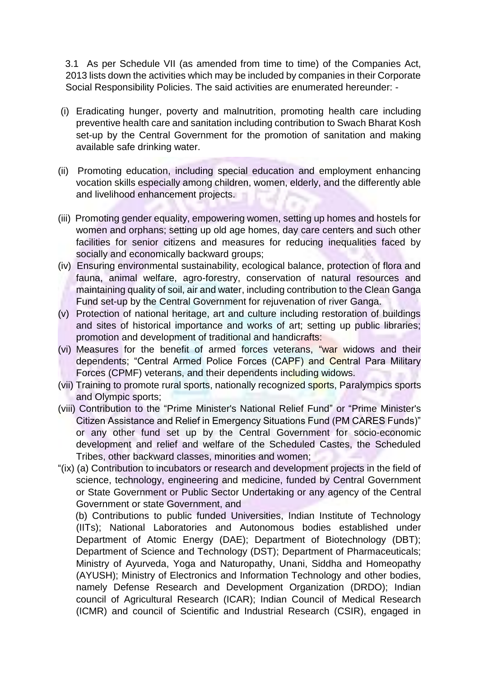3.1 As per Schedule VII (as amended from time to time) of the Companies Act, 2013 lists down the activities which may be included by companies in their Corporate Social Responsibility Policies. The said activities are enumerated hereunder: -

- (i) Eradicating hunger, poverty and malnutrition, promoting health care including preventive health care and sanitation including contribution to Swach Bharat Kosh set-up by the Central Government for the promotion of sanitation and making available safe drinking water.
- (ii) Promoting education, including special education and employment enhancing vocation skills especially among children, women, elderly, and the differently able and livelihood enhancement projects.
- (iii) Promoting gender equality, empowering women, setting up homes and hostels for women and orphans; setting up old age homes, day care centers and such other facilities for senior citizens and measures for reducing inequalities faced by socially and economically backward groups;
- (iv) Ensuring environmental sustainability, ecological balance, protection of flora and fauna, animal welfare, agro-forestry, conservation of natural resources and maintaining quality of soil, air and water, including contribution to the Clean Ganga Fund set-up by the Central Government for rejuvenation of river Ganga.
- (v) Protection of national heritage, art and culture including restoration of buildings and sites of historical importance and works of art; setting up public libraries; promotion and development of traditional and handicrafts:
- (vi) Measures for the benefit of armed forces veterans, "war widows and their dependents; "Central Armed Police Forces (CAPF) and Central Para Military Forces (CPMF) veterans, and their dependents including widows.
- (vii) Training to promote rural sports, nationally recognized sports, Paralympics sports and Olympic sports;
- (viii) Contribution to the "Prime Minister's National Relief Fund" or "Prime Minister's Citizen Assistance and Relief in Emergency Situations Fund (PM CARES Funds)" or any other fund set up by the Central Government for socio-economic development and relief and welfare of the Scheduled Castes, the Scheduled Tribes, other backward classes, minorities and women;
- "(ix) (a) Contribution to incubators or research and development projects in the field of science, technology, engineering and medicine, funded by Central Government or State Government or Public Sector Undertaking or any agency of the Central Government or state Government, and

(b) Contributions to public funded Universities, Indian Institute of Technology (IITs); National Laboratories and Autonomous bodies established under Department of Atomic Energy (DAE); Department of Biotechnology (DBT); Department of Science and Technology (DST); Department of Pharmaceuticals; Ministry of Ayurveda, Yoga and Naturopathy, Unani, Siddha and Homeopathy (AYUSH); Ministry of Electronics and Information Technology and other bodies, namely Defense Research and Development Organization (DRDO); Indian council of Agricultural Research (ICAR); Indian Council of Medical Research (ICMR) and council of Scientific and Industrial Research (CSIR), engaged in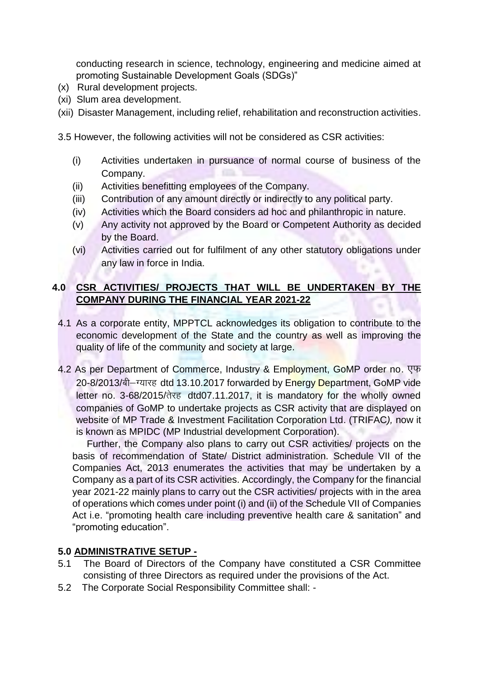conducting research in science, technology, engineering and medicine aimed at promoting Sustainable Development Goals (SDGs)"

- (x) Rural development projects.
- (xi) Slum area development.
- (xii) Disaster Management, including relief, rehabilitation and reconstruction activities.

3.5 However, the following activities will not be considered as CSR activities:

- (i) Activities undertaken in pursuance of normal course of business of the Company.
- (ii) Activities benefitting employees of the Company.
- (iii) Contribution of any amount directly or indirectly to any political party.
- (iv) Activities which the Board considers ad hoc and philanthropic in nature.
- (v) Any activity not approved by the Board or Competent Authority as decided by the Board.
- (vi) Activities carried out for fulfilment of any other statutory obligations under any law in force in India.

### **4.0 CSR ACTIVITIES/ PROJECTS THAT WILL BE UNDERTAKEN BY THE COMPANY DURING THE FINANCIAL YEAR 2021-22**

- 4.1 As a corporate entity, MPPTCL acknowledges its obligation to contribute to the economic development of the State and the country as well as improving the quality of life of the community and society at large.
- 4.2 As per Department of Commerce, Industry & Employment, GoMP order no.  $\nabla\Psi$ 20-8/2013/बी–ग्यारह dtd 13.10.2017 forwarded by Energy Department, GoMP vide letter no. 3-68/2015/तेरह dtd07.11.2017, it is mandatory for the wholly owned companies of GoMP to undertake projects as CSR activity that are displayed on website of MP Trade & Investment Facilitation Corporation Ltd. (TRIFAC*),* now it is known as MPIDC (MP Industrial development Corporation).

Further, the Company also plans to carry out CSR activities/ projects on the basis of recommendation of State/ District administration. Schedule VII of the Companies Act, 2013 enumerates the activities that may be undertaken by a Company as a part of its CSR activities. Accordingly, the Company for the financial year 2021-22 mainly plans to carry out the CSR activities/ projects with in the area of operations which comes under point (i) and (ii) of the Schedule VII of Companies Act i.e. "promoting health care including preventive health care & sanitation" and "promoting education".

#### **5.0 ADMINISTRATIVE SETUP -**

- 5.1 The Board of Directors of the Company have constituted a CSR Committee consisting of three Directors as required under the provisions of the Act.
- 5.2 The Corporate Social Responsibility Committee shall: -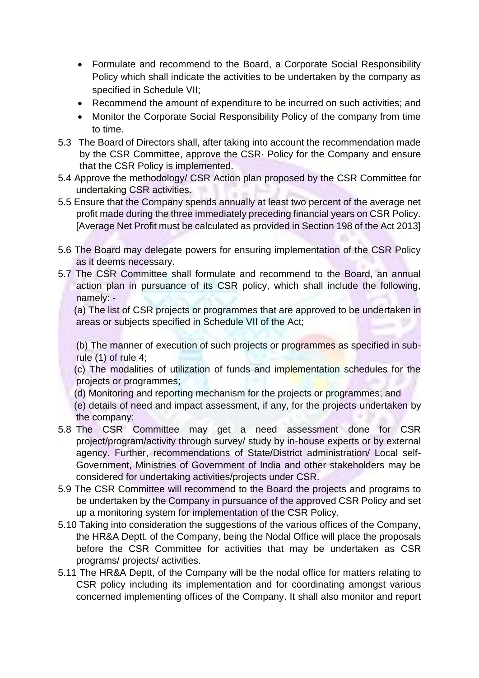- Formulate and recommend to the Board, a Corporate Social Responsibility Policy which shall indicate the activities to be undertaken by the company as specified in Schedule VII;
- Recommend the amount of expenditure to be incurred on such activities: and
- Monitor the Corporate Social Responsibility Policy of the company from time to time.
- 5.3 The Board of Directors shall, after taking into account the recommendation made by the CSR Committee, approve the CSR· Policy for the Company and ensure that the CSR Policy is implemented.
- 5.4 Approve the methodology/ CSR Action plan proposed by the CSR Committee for undertaking CSR activities.
- 5.5 Ensure that the Company spends annually at least two percent of the average net profit made during the three immediately preceding financial years on CSR Policy. [Average Net Profit must be calculated as provided in Section 198 of the Act 2013]
- 5.6 The Board may delegate powers for ensuring implementation of the CSR Policy as it deems necessary.
- 5.7 The CSR Committee shall formulate and recommend to the Board, an annual action plan in pursuance of its CSR policy, which shall include the following, namely: -

 (a) The list of CSR projects or programmes that are approved to be undertaken in areas or subjects specified in Schedule VII of the Act;

(b) The manner of execution of such projects or programmes as specified in subrule (1) of rule 4;

 (c) The modalities of utilization of funds and implementation schedules for the projects or programmes;

(d) Monitoring and reporting mechanism for the projects or programmes; and

 (e) details of need and impact assessment, if any, for the projects undertaken by the company:

- 5.8 The CSR Committee may get a need assessment done for CSR project/program/activity through survey/ study by in-house experts or by external agency. Further, recommendations of State/District administration/ Local self-Government, Ministries of Government of India and other stakeholders may be considered for undertaking activities/projects under CSR.
- 5.9 The CSR Committee will recommend to the Board the projects and programs to be undertaken by the Company in pursuance of the approved CSR Policy and set up a monitoring system for implementation of the CSR Policy.
- 5.10 Taking into consideration the suggestions of the various offices of the Company, the HR&A Deptt. of the Company, being the Nodal Office will place the proposals before the CSR Committee for activities that may be undertaken as CSR programs/ projects/ activities.
- 5.11 The HR&A Deptt, of the Company will be the nodal office for matters relating to CSR policy including its implementation and for coordinating amongst various concerned implementing offices of the Company. It shall also monitor and report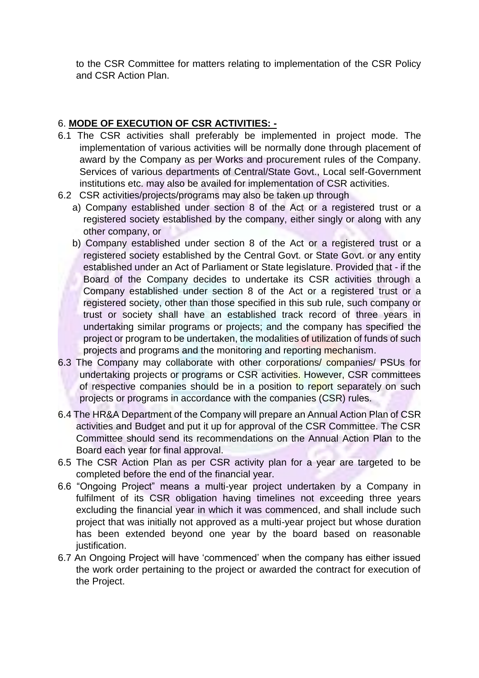to the CSR Committee for matters relating to implementation of the CSR Policy and CSR Action Plan.

### 6. **MODE OF EXECUTION OF CSR ACTIVITIES: -**

- 6.1 The CSR activities shall preferably be implemented in project mode. The implementation of various activities will be normally done through placement of award by the Company as per Works and procurement rules of the Company. Services of various departments of Central/State Govt., Local self-Government institutions etc. may also be availed for implementation of CSR activities.
- 6.2 CSR activities/projects/programs may also be taken up through
	- a) Company established under section 8 of the Act or a registered trust or a registered society established by the company, either singly or along with any other company, or
	- b) Company established under section 8 of the Act or a registered trust or a registered society established by the Central Govt. or State Govt. or any entity established under an Act of Parliament or State legislature. Provided that - if the Board of the Company decides to undertake its CSR activities through a Company established under section 8 of the Act or a registered trust or a registered society, other than those specified in this sub rule, such company or trust or society shall have an established track record of three years in undertaking similar programs or projects; and the company has specified the project or program to be undertaken, the modalities of utilization of funds of such projects and programs and the monitoring and reporting mechanism.
- 6.3 The Company may collaborate with other corporations/ companies/ PSUs for undertaking projects or programs or CSR activities. However, CSR committees of respective companies should be in a position to report separately on such projects or programs in accordance with the companies (CSR) rules.
- 6.4 The HR&A Department of the Company will prepare an Annual Action Plan of CSR activities and Budget and put it up for approval of the CSR Committee. The CSR Committee should send its recommendations on the Annual Action Plan to the Board each year for final approval.
- 6.5 The CSR Action Plan as per CSR activity plan for a year are targeted to be completed before the end of the financial year.
- 6.6 "Ongoing Project" means a multi-year project undertaken by a Company in fulfilment of its CSR obligation having timelines not exceeding three years excluding the financial year in which it was commenced, and shall include such project that was initially not approved as a multi-year project but whose duration has been extended beyond one year by the board based on reasonable justification.
- 6.7 An Ongoing Project will have 'commenced' when the company has either issued the work order pertaining to the project or awarded the contract for execution of the Project.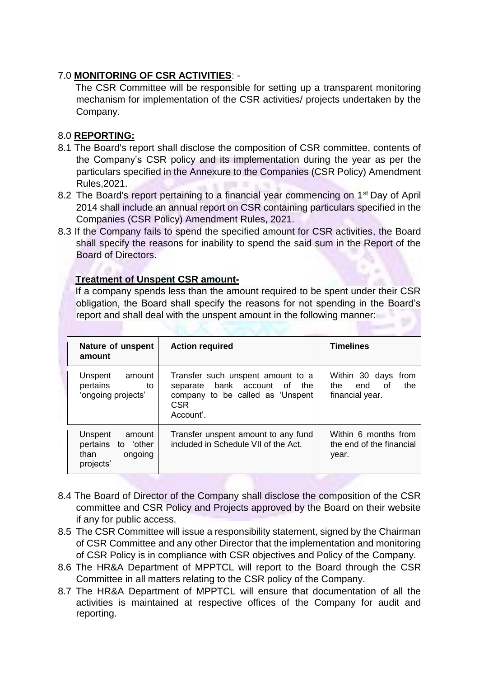### 7.0 **MONITORING OF CSR ACTIVITIES**: -

The CSR Committee will be responsible for setting up a transparent monitoring mechanism for implementation of the CSR activities/ projects undertaken by the Company.

#### 8.0 **REPORTING:**

- 8.1 The Board's report shall disclose the composition of CSR committee, contents of the Company's CSR policy and its implementation during the year as per the particulars specified in the Annexure to the Companies (CSR Policy) Amendment Rules,2021.
- 8.2 The Board's report pertaining to a financial year commencing on 1<sup>st</sup> Day of April 2014 shall include an annual report on CSR containing particulars specified in the Companies (CSR Policy) Amendment Rules, 2021.
- 8.3 If the Company fails to spend the specified amount for CSR activities, the Board shall specify the reasons for inability to spend the said sum in the Report of the Board of Directors.

#### **Treatment of Unspent CSR amount-**

If a company spends less than the amount required to be spent under their CSR obligation, the Board shall specify the reasons for not spending in the Board's report and shall deal with the unspent amount in the following manner:

| Nature of unspent<br>amount                                             | <b>Action required</b>                                                                                                           | <b>Timelines</b>                                               |
|-------------------------------------------------------------------------|----------------------------------------------------------------------------------------------------------------------------------|----------------------------------------------------------------|
| Unspent<br>amount<br>pertains<br>to<br>'ongoing projects'               | Transfer such unspent amount to a<br>separate bank account of the<br>company to be called as 'Unspent<br><b>CSR</b><br>Account'. | Within 30 days from<br>end of<br>the<br>the<br>financial year. |
| Unspent<br>amount<br>pertains to 'other<br>ongoing<br>than<br>projects' | Transfer unspent amount to any fund<br>included in Schedule VII of the Act.                                                      | Within 6 months from<br>the end of the financial<br>year.      |

- 8.4 The Board of Director of the Company shall disclose the composition of the CSR committee and CSR Policy and Projects approved by the Board on their website if any for public access.
- 8.5 The CSR Committee will issue a responsibility statement, signed by the Chairman of CSR Committee and any other Director that the implementation and monitoring of CSR Policy is in compliance with CSR objectives and Policy of the Company.
- 8.6 The HR&A Department of MPPTCL will report to the Board through the CSR Committee in all matters relating to the CSR policy of the Company.
- 8.7 The HR&A Department of MPPTCL will ensure that documentation of all the activities is maintained at respective offices of the Company for audit and reporting.